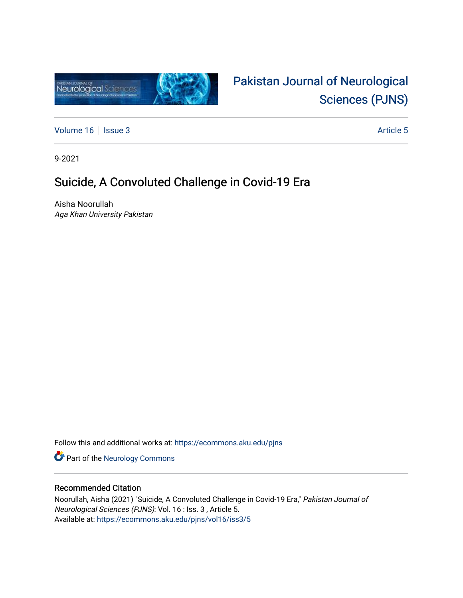

# [Pakistan Journal of Neurological](https://ecommons.aku.edu/pjns)  [Sciences \(PJNS\)](https://ecommons.aku.edu/pjns)

[Volume 16](https://ecommons.aku.edu/pjns/vol16) | [Issue 3](https://ecommons.aku.edu/pjns/vol16/iss3) Article 5

9-2021

### Suicide, A Convoluted Challenge in Covid-19 Era

Aisha Noorullah Aga Khan University Pakistan

Follow this and additional works at: [https://ecommons.aku.edu/pjns](https://ecommons.aku.edu/pjns?utm_source=ecommons.aku.edu%2Fpjns%2Fvol16%2Fiss3%2F5&utm_medium=PDF&utm_campaign=PDFCoverPages) 

Part of the [Neurology Commons](http://network.bepress.com/hgg/discipline/692?utm_source=ecommons.aku.edu%2Fpjns%2Fvol16%2Fiss3%2F5&utm_medium=PDF&utm_campaign=PDFCoverPages)

### Recommended Citation

Noorullah, Aisha (2021) "Suicide, A Convoluted Challenge in Covid-19 Era," Pakistan Journal of Neurological Sciences (PJNS): Vol. 16 : Iss. 3 , Article 5. Available at: [https://ecommons.aku.edu/pjns/vol16/iss3/5](https://ecommons.aku.edu/pjns/vol16/iss3/5?utm_source=ecommons.aku.edu%2Fpjns%2Fvol16%2Fiss3%2F5&utm_medium=PDF&utm_campaign=PDFCoverPages)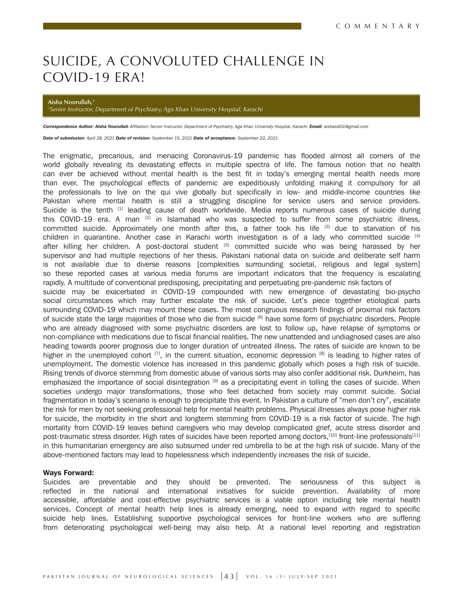## SUICIDE, A CONVOLUTED CHALLENGE IN COVID-19 ERA!

**Aisha Noorullah,1**

*1 Senior Instructor, Department of Psychiatry, Aga Khan University Hospital, Karachi* 

Correspondence Author: Aisha Noorullah Affiliation: Senior Instructor, Department of Psychiatry, Aga Khan University Hospital, Karachi Email: aishasid01@gmail.com

*Date of submission: April 28, 2021 Date of revision: September 15, 2021 Date of acceptance: September 22, 2021*

The enigmatic, precarious, and menacing Coronavirus-19 pandemic has flooded almost all corners of the world globally revealing its devastating effects in multiple spectra of life. The famous notion that no health can ever be achieved without mental health is the best fit in today's emerging mental health needs more than ever. The psychological effects of pandemic are expeditiously unfolding making it compulsory for all the professionals to live on the qui vive globally but specifically in low- and middle-income countries like Pakistan where mental health is still a struggling discipline for service users and service providers. Suicide is the tenth <sup>[1]</sup> leading cause of death worldwide. Media reports numerous cases of suicide during this COVID-19 era. A man <sup>[2]</sup> in Islamabad who was suspected to suffer from some psychiatric illness, committed suicide. Approximately one month after this, a father took his life [3] due to starvation of his children in quarantine. Another case in Karachi worth investigation is of a lady who committed suicide [4] after killing her children. A post-doctoral student <sup>[5]</sup> committed suicide who was being harassed by her supervisor and had multiple rejections of her thesis. Pakistani national data on suicide and deliberate self harm is not available due to diverse reasons [complexities surrounding societal, religious and legal system] so these reported cases at various media forums are important indicators that the frequency is escalating rapidly. A multitude of conventional predisposing, precipitating and perpetuating pre-pandemic risk factors of suicide may be exacerbated in COVID-19 compounded with new emergence of devastating bio-psycho social circumstances which may further escalate the risk of suicide. Let's piece together etiological parts surrounding COVID-19 which may mount these cases. The most congruous research findings of proximal risk factors of suicide state the large majorities of those who die from suicide [6] have some form of psychiatric disorders. People who are already diagnosed with some psychiatric disorders are lost to follow up, have relapse of symptoms or non-compliance with medications due to fiscal financial realities. The new unattended and undiagnosed cases are also heading towards poorer prognosis due to longer duration of untreated illness. The rates of suicide are known to be higher in the unemployed cohort  $^{[7]}$ , in the current situation, economic depression  $^{[8]}$  is leading to higher rates of unemployment. The domestic violence has increased in this pandemic globally which poses a high risk of suicide. Rising trends of divorce stemming from domestic abuse of various sorts may also confer additional risk. Durkheim, has emphasized the importance of social disintegration [9] as a precipitating event in tolling the cases of suicide. When societies undergo major transformations, those who feel detached from society may commit suicide. Social fragmentation in today's scenario is enough to precipitate this event. In Pakistan a culture of "men don't cry", escalate the risk for men by not seeking professional help for mental health problems. Physical illnesses always pose higher risk for suicide, the morbidity in the short and longterm stemming from COVID-19 is a risk factor of suicide. The high mortality from COVID-19 leaves behind caregivers who may develop complicated grief, acute stress disorder and post-traumatic stress disorder. High rates of suicides have been reported among doctors,<sup>[10]</sup> front-line professionals<sup>[11]</sup> in this humanitarian emergency are also subsumed under red umbrella to be at the high risk of suicide. Many of the above-mentioned factors may lead to hopelessness which independently increases the risk of suicide.

#### Ways Forward:

Suicides are preventable and they should be prevented. The seriousness of this subject is reflected in the national and international initiatives for suicide prevention. Availability of more accessible, affordable and cost-effective psychiatric services is a viable option including tele mental health services. Concept of mental health help lines is already emerging, need to expand with regard to specific suicide help lines. Establishing supportive psychological services for front-line workers who are suffering from deteriorating psychological well-being may also help. At a national level reporting and registration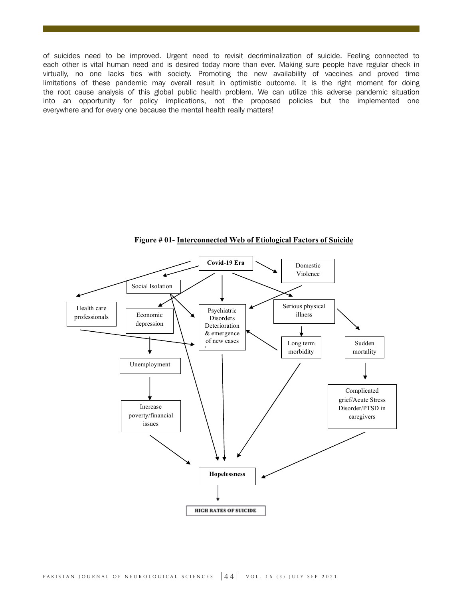of suicides need to be improved. Urgent need to revisit decriminalization of suicide. Feeling connected to each other is vital human need and is desired today more than ever. Making sure people have regular check in virtually, no one lacks ties with society. Promoting the new availability of vaccines and proved time limitations of these pandemic may overall result in optimistic outcome. It is the right moment for doing the root cause analysis of this global public health problem. We can utilize this adverse pandemic situation into an opportunity for policy implications, not the proposed policies but the implemented one everywhere and for every one because the mental health really matters!



**Figure # 01- Interconnected Web of Etiological Factors of Suicide**